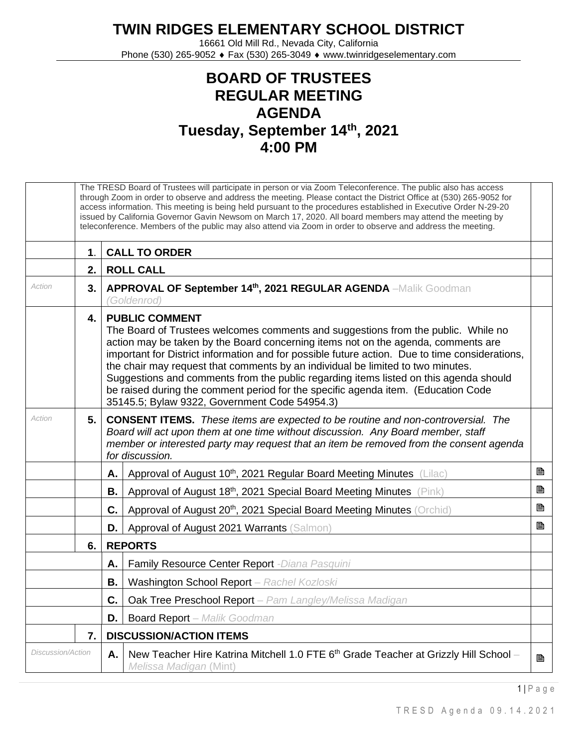## **TWIN RIDGES ELEMENTARY SCHOOL DISTRICT**

16661 Old Mill Rd., Nevada City, California Phone (530) 265-9052 ♦ Fax (530) 265-3049 ♦ www.twinridgeselementary.com

## **BOARD OF TRUSTEES REGULAR MEETING AGENDA Tuesday, September 14th, 2021 4:00 PM**

|                   | The TRESD Board of Trustees will participate in person or via Zoom Teleconference. The public also has access<br>through Zoom in order to observe and address the meeting. Please contact the District Office at (530) 265-9052 for<br>access information. This meeting is being held pursuant to the procedures established in Executive Order N-29-20<br>issued by California Governor Gavin Newsom on March 17, 2020. All board members may attend the meeting by<br>teleconference. Members of the public may also attend via Zoom in order to observe and address the meeting. |                                                                                                                                                                                                                                                                                                                                                                                                                                                                                                                                                                                                                     |                                                                                                                  |   |  |
|-------------------|-------------------------------------------------------------------------------------------------------------------------------------------------------------------------------------------------------------------------------------------------------------------------------------------------------------------------------------------------------------------------------------------------------------------------------------------------------------------------------------------------------------------------------------------------------------------------------------|---------------------------------------------------------------------------------------------------------------------------------------------------------------------------------------------------------------------------------------------------------------------------------------------------------------------------------------------------------------------------------------------------------------------------------------------------------------------------------------------------------------------------------------------------------------------------------------------------------------------|------------------------------------------------------------------------------------------------------------------|---|--|
|                   | $\mathbf 1$ .                                                                                                                                                                                                                                                                                                                                                                                                                                                                                                                                                                       |                                                                                                                                                                                                                                                                                                                                                                                                                                                                                                                                                                                                                     | <b>CALL TO ORDER</b>                                                                                             |   |  |
|                   | 2.                                                                                                                                                                                                                                                                                                                                                                                                                                                                                                                                                                                  |                                                                                                                                                                                                                                                                                                                                                                                                                                                                                                                                                                                                                     | <b>ROLL CALL</b>                                                                                                 |   |  |
| Action            | 3.                                                                                                                                                                                                                                                                                                                                                                                                                                                                                                                                                                                  |                                                                                                                                                                                                                                                                                                                                                                                                                                                                                                                                                                                                                     | APPROVAL OF September 14th, 2021 REGULAR AGENDA -Malik Goodman<br>(Goldenrod)                                    |   |  |
|                   | 4.                                                                                                                                                                                                                                                                                                                                                                                                                                                                                                                                                                                  | <b>PUBLIC COMMENT</b><br>The Board of Trustees welcomes comments and suggestions from the public. While no<br>action may be taken by the Board concerning items not on the agenda, comments are<br>important for District information and for possible future action. Due to time considerations,<br>the chair may request that comments by an individual be limited to two minutes.<br>Suggestions and comments from the public regarding items listed on this agenda should<br>be raised during the comment period for the specific agenda item. (Education Code<br>35145.5; Bylaw 9322, Government Code 54954.3) |                                                                                                                  |   |  |
| Action            | 5.1                                                                                                                                                                                                                                                                                                                                                                                                                                                                                                                                                                                 | <b>CONSENT ITEMS.</b> These items are expected to be routine and non-controversial. The<br>Board will act upon them at one time without discussion. Any Board member, staff<br>member or interested party may request that an item be removed from the consent agenda<br>for discussion.                                                                                                                                                                                                                                                                                                                            |                                                                                                                  |   |  |
|                   |                                                                                                                                                                                                                                                                                                                                                                                                                                                                                                                                                                                     | Α.                                                                                                                                                                                                                                                                                                                                                                                                                                                                                                                                                                                                                  | Approval of August 10 <sup>th</sup> , 2021 Regular Board Meeting Minutes (Lilac)                                 | B |  |
|                   |                                                                                                                                                                                                                                                                                                                                                                                                                                                                                                                                                                                     | В.                                                                                                                                                                                                                                                                                                                                                                                                                                                                                                                                                                                                                  | Approval of August 18 <sup>th</sup> , 2021 Special Board Meeting Minutes (Pink)                                  | B |  |
|                   |                                                                                                                                                                                                                                                                                                                                                                                                                                                                                                                                                                                     | C.                                                                                                                                                                                                                                                                                                                                                                                                                                                                                                                                                                                                                  | Approval of August 20 <sup>th</sup> , 2021 Special Board Meeting Minutes (Orchid)                                | B |  |
|                   |                                                                                                                                                                                                                                                                                                                                                                                                                                                                                                                                                                                     | D.                                                                                                                                                                                                                                                                                                                                                                                                                                                                                                                                                                                                                  | Approval of August 2021 Warrants (Salmon)                                                                        | B |  |
|                   | 6.                                                                                                                                                                                                                                                                                                                                                                                                                                                                                                                                                                                  | <b>REPORTS</b>                                                                                                                                                                                                                                                                                                                                                                                                                                                                                                                                                                                                      |                                                                                                                  |   |  |
|                   |                                                                                                                                                                                                                                                                                                                                                                                                                                                                                                                                                                                     | Α.                                                                                                                                                                                                                                                                                                                                                                                                                                                                                                                                                                                                                  | Family Resource Center Report - Diana Pasquini                                                                   |   |  |
|                   |                                                                                                                                                                                                                                                                                                                                                                                                                                                                                                                                                                                     | В.                                                                                                                                                                                                                                                                                                                                                                                                                                                                                                                                                                                                                  | Washington School Report - Rachel Kozloski                                                                       |   |  |
|                   |                                                                                                                                                                                                                                                                                                                                                                                                                                                                                                                                                                                     | C.                                                                                                                                                                                                                                                                                                                                                                                                                                                                                                                                                                                                                  | Oak Tree Preschool Report - Pam Langley/Melissa Madigan                                                          |   |  |
|                   |                                                                                                                                                                                                                                                                                                                                                                                                                                                                                                                                                                                     | D.                                                                                                                                                                                                                                                                                                                                                                                                                                                                                                                                                                                                                  | <b>Board Report</b> - Malik Goodman                                                                              |   |  |
|                   | 7.                                                                                                                                                                                                                                                                                                                                                                                                                                                                                                                                                                                  | <b>DISCUSSION/ACTION ITEMS</b>                                                                                                                                                                                                                                                                                                                                                                                                                                                                                                                                                                                      |                                                                                                                  |   |  |
| Discussion/Action |                                                                                                                                                                                                                                                                                                                                                                                                                                                                                                                                                                                     | Α.                                                                                                                                                                                                                                                                                                                                                                                                                                                                                                                                                                                                                  | New Teacher Hire Katrina Mitchell 1.0 FTE $6th$ Grade Teacher at Grizzly Hill School –<br>Melissa Madigan (Mint) | B |  |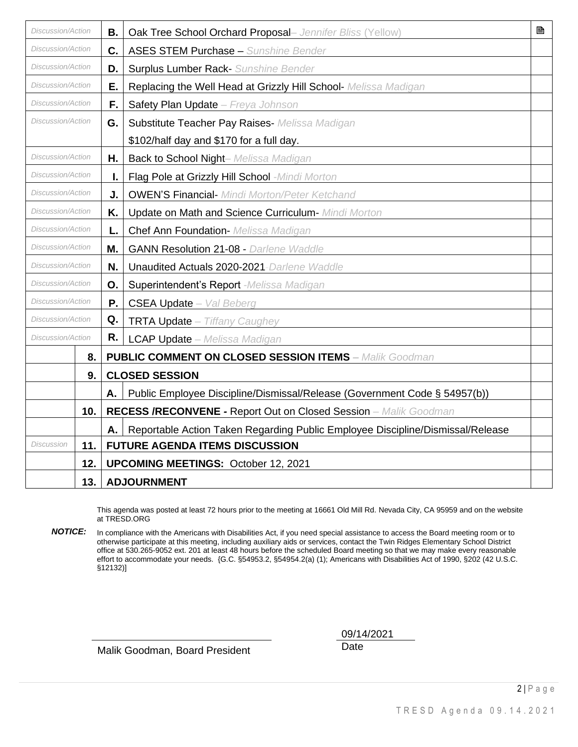| Discussion/Action        |                           | В.                                         | Oak Tree School Orchard Proposal- Jennifer Bliss (Yellow)                      | 昏 |
|--------------------------|---------------------------|--------------------------------------------|--------------------------------------------------------------------------------|---|
| Discussion/Action        |                           | C.                                         | <b>ASES STEM Purchase - Sunshine Bender</b>                                    |   |
| <b>Discussion/Action</b> |                           | D.                                         | <b>Surplus Lumber Rack-</b> Sunshine Bender                                    |   |
| Discussion/Action        |                           | Е.                                         | Replacing the Well Head at Grizzly Hill School- Melissa Madigan                |   |
| Discussion/Action        |                           | F.,                                        | Safety Plan Update - Freya Johnson                                             |   |
| <b>Discussion/Action</b> |                           | G.                                         | Substitute Teacher Pay Raises- Melissa Madigan                                 |   |
|                          |                           |                                            | \$102/half day and \$170 for a full day.                                       |   |
| <b>Discussion/Action</b> |                           | Η.                                         | <b>Back to School Night- Melissa Madigan</b>                                   |   |
| <b>Discussion/Action</b> |                           | ı.                                         | Flag Pole at Grizzly Hill School -Mindi Morton                                 |   |
| <b>Discussion/Action</b> |                           | J.                                         | <b>OWEN'S Financial- Mindi Morton/Peter Ketchand</b>                           |   |
| Discussion/Action        |                           | Κ.                                         | Update on Math and Science Curriculum- Mindi Morton                            |   |
| <b>Discussion/Action</b> |                           | L.                                         | Chef Ann Foundation- Melissa Madigan                                           |   |
| <b>Discussion/Action</b> |                           | M.                                         | <b>GANN Resolution 21-08 - Darlene Waddle</b>                                  |   |
| Discussion/Action        |                           | N.                                         | Unaudited Actuals 2020-2021-Darlene Waddle                                     |   |
| Discussion/Action        |                           | О.                                         | Superintendent's Report -Melissa Madigan                                       |   |
| <b>Discussion/Action</b> |                           | Ρ.                                         | <b>CSEA Update</b> - Val Beberg                                                |   |
| Discussion/Action        |                           | Q.                                         | TRTA Update - Tiffany Caughey                                                  |   |
| <b>Discussion/Action</b> |                           | R.                                         | <b>LCAP Update</b> - Melissa Madigan                                           |   |
|                          | 8.                        |                                            | <b>PUBLIC COMMENT ON CLOSED SESSION ITEMS - Malik Goodman</b>                  |   |
|                          | 9.                        |                                            | <b>CLOSED SESSION</b>                                                          |   |
|                          |                           | Α.                                         | Public Employee Discipline/Dismissal/Release (Government Code § 54957(b))      |   |
|                          | 10.                       |                                            | RECESS /RECONVENE - Report Out on Closed Session - Malik Goodman               |   |
|                          |                           | А.                                         | Reportable Action Taken Regarding Public Employee Discipline/Dismissal/Release |   |
| Discussion               | 11.                       |                                            | <b>FUTURE AGENDA ITEMS DISCUSSION</b>                                          |   |
|                          | 12.                       | <b>UPCOMING MEETINGS: October 12, 2021</b> |                                                                                |   |
|                          | 13.<br><b>ADJOURNMENT</b> |                                            |                                                                                |   |

This agenda was posted at least 72 hours prior to the meeting at 16661 Old Mill Rd. Nevada City, CA 95959 and on the website at TRESD.ORG

*NOTICE:* In compliance with the Americans with Disabilities Act, if you need special assistance to access the Board meeting room or to otherwise participate at this meeting, including auxiliary aids or services, contact the Twin Ridges Elementary School District office at 530.265-9052 ext. 201 at least 48 hours before the scheduled Board meeting so that we may make every reasonable effort to accommodate your needs. {G.C. §54953.2, §54954.2(a) (1); Americans with Disabilities Act of 1990, §202 (42 U.S.C. §12132)]

Malik Goodman, Board President Date

09/14/2021